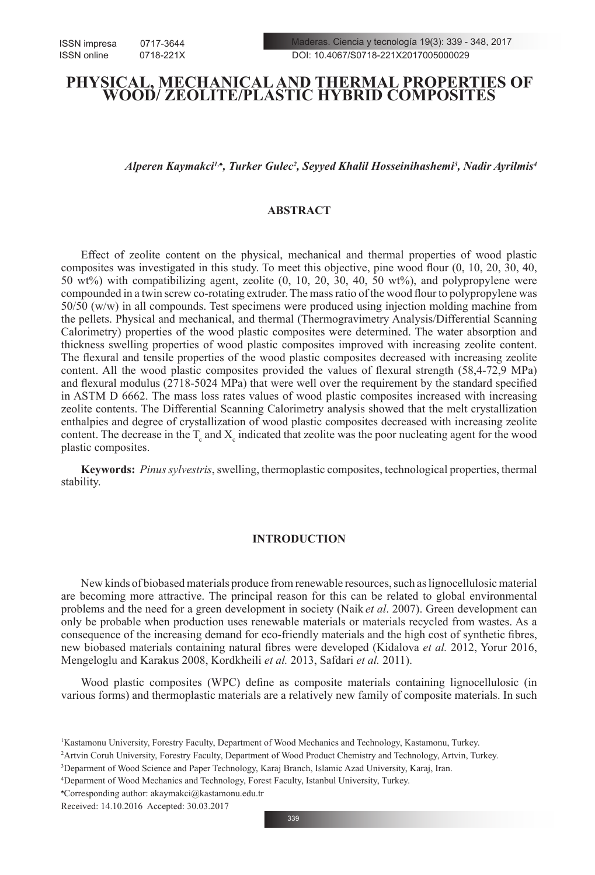# **PHYSICAL, MECHANICAL AND THERMAL PROPERTIES OF WOOD/ ZEOLITE/PLASTIC HYBRID COMPOSITES**

*Alperen Kaymakci1,♠, Turker Gulec2 , Seyyed Khalil Hosseinihashemi3 , Nadir Ayrilmis4*

# **ABSTRACT**

Effect of zeolite content on the physical, mechanical and thermal properties of wood plastic composites was investigated in this study. To meet this objective, pine wood flour (0, 10, 20, 30, 40, 50 wt%) with compatibilizing agent, zeolite (0, 10, 20, 30, 40, 50 wt%), and polypropylene were compounded in a twin screw co-rotating extruder. The mass ratio of the wood flour to polypropylene was 50/50 (w/w) in all compounds. Test specimens were produced using injection molding machine from the pellets. Physical and mechanical, and thermal (Thermogravimetry Analysis/Differential Scanning Calorimetry) properties of the wood plastic composites were determined. The water absorption and thickness swelling properties of wood plastic composites improved with increasing zeolite content. The flexural and tensile properties of the wood plastic composites decreased with increasing zeolite content. All the wood plastic composites provided the values of flexural strength (58,4-72,9 MPa) and flexural modulus (2718-5024 MPa) that were well over the requirement by the standard specified in ASTM D 6662. The mass loss rates values of wood plastic composites increased with increasing zeolite contents. The Differential Scanning Calorimetry analysis showed that the melt crystallization enthalpies and degree of crystallization of wood plastic composites decreased with increasing zeolite content. The decrease in the  $T_c$  and  $X_c$  indicated that zeolite was the poor nucleating agent for the wood plastic composites.

**Keywords:** *Pinus sylvestris*, swelling, thermoplastic composites, technological properties, thermal stability.

# **INTRODUCTION**

New kinds of biobased materials produce from renewable resources, such as lignocellulosic material are becoming more attractive. The principal reason for this can be related to global environmental problems and the need for a green development in society (Naik *et al*. 2007). Green development can only be probable when production uses renewable materials or materials recycled from wastes. As a consequence of the increasing demand for eco-friendly materials and the high cost of synthetic fibres, new biobased materials containing natural fibres were developed (Kidalova *et al.* 2012, Yorur 2016, Mengeloglu and Karakus 2008, Kordkheili *et al.* 2013, Safdari *et al.* 2011).

Wood plastic composites (WPC) define as composite materials containing lignocellulosic (in various forms) and thermoplastic materials are a relatively new family of composite materials. In such

<sup>1</sup> Kastamonu University, Forestry Faculty, Department of Wood Mechanics and Technology, Kastamonu, Turkey.

<sup>2</sup> Artvin Coruh University, Forestry Faculty, Department of Wood Product Chemistry and Technology, Artvin, Turkey.

<sup>3</sup> Deparment of Wood Science and Paper Technology, Karaj Branch, Islamic Azad University, Karaj, Iran.

<sup>4</sup> Deparment of Wood Mechanics and Technology, Forest Faculty, Istanbul University, Turkey.

<sup>♠</sup> Corresponding author: akaymakci@kastamonu.edu.tr

Received: 14.10.2016 Accepted: 30.03.2017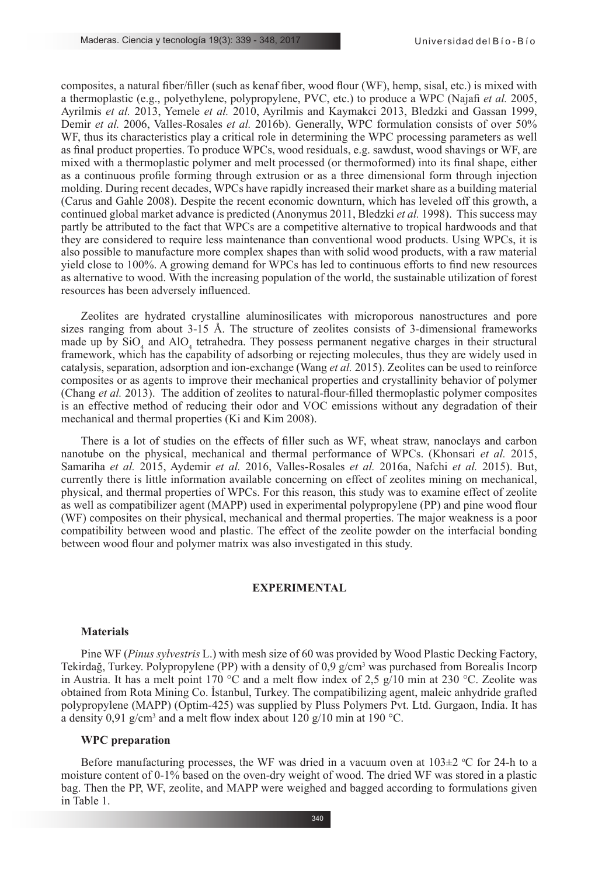composites, a natural fiber/filler (such as kenaf fiber, wood flour (WF), hemp, sisal, etc.) is mixed with a thermoplastic (e.g., polyethylene, polypropylene, PVC, etc.) to produce a WPC (Najafi *et al.* 2005, Ayrilmis *et al.* 2013, Yemele *et al.* 2010, Ayrilmis and Kaymakci 2013, Bledzki and Gassan 1999, Demir *et al.* 2006, Valles-Rosales *et al.* 2016b). Generally, WPC formulation consists of over 50% WF, thus its characteristics play a critical role in determining the WPC processing parameters as well as final product properties. To produce WPCs, wood residuals, e.g. sawdust, wood shavings or WF, are mixed with a thermoplastic polymer and melt processed (or thermoformed) into its final shape, either as a continuous profile forming through extrusion or as a three dimensional form through injection molding. During recent decades, WPCs have rapidly increased their market share as a building material (Carus and Gahle 2008). Despite the recent economic downturn, which has leveled off this growth, a continued global market advance is predicted (Anonymus 2011, Bledzki *et al.* 1998). This success may partly be attributed to the fact that WPCs are a competitive alternative to tropical hardwoods and that they are considered to require less maintenance than conventional wood products. Using WPCs, it is also possible to manufacture more complex shapes than with solid wood products, with a raw material yield close to 100%. A growing demand for WPCs has led to continuous efforts to find new resources as alternative to wood. With the increasing population of the world, the sustainable utilization of forest resources has been adversely influenced.

Zeolites are hydrated crystalline aluminosilicates with microporous nanostructures and pore sizes ranging from about 3-15 Å. The structure of zeolites consists of 3-dimensional frameworks made up by  $\text{SiO}_4$  and  $\text{AlO}_4$  tetrahedra. They possess permanent negative charges in their structural framework, which has the capability of adsorbing or rejecting molecules, thus they are widely used in catalysis, separation, adsorption and ion-exchange (Wang *et al.* 2015). Zeolites can be used to reinforce composites or as agents to improve their mechanical properties and crystallinity behavior of polymer (Chang *et al.* 2013). The addition of zeolites to natural-flour-filled thermoplastic polymer composites is an effective method of reducing their odor and VOC emissions without any degradation of their mechanical and thermal properties (Ki and Kim 2008).

There is a lot of studies on the effects of filler such as WF, wheat straw, nanoclays and carbon nanotube on the physical, mechanical and thermal performance of WPCs. (Khonsari *et al.* 2015, Samariha *et al.* 2015, Aydemir *et al.* 2016, Valles-Rosales *et al.* 2016a, Nafchi *et al.* 2015). But, currently there is little information available concerning on effect of zeolites mining on mechanical, physical, and thermal properties of WPCs. For this reason, this study was to examine effect of zeolite as well as compatibilizer agent (MAPP) used in experimental polypropylene (PP) and pine wood flour (WF) composites on their physical, mechanical and thermal properties. The major weakness is a poor compatibility between wood and plastic. The effect of the zeolite powder on the interfacial bonding between wood flour and polymer matrix was also investigated in this study.

## **EXPERIMENTAL**

#### **Materials**

Pine WF (*Pinus sylvestris* L.) with mesh size of 60 was provided by Wood Plastic Decking Factory, Tekirdağ, Turkey. Polypropylene (PP) with a density of  $0.9 \text{ g/cm}^3$  was purchased from Borealis Incorp in Austria. It has a melt point 170 °C and a melt flow index of 2.5  $g/10$  min at 230 °C. Zeolite was obtained from Rota Mining Co. İstanbul, Turkey. The compatibilizing agent, maleic anhydride grafted polypropylene (MAPP) (Optim-425) was supplied by Pluss Polymers Pvt. Ltd. Gurgaon, India. It has a density 0,91 g/cm<sup>3</sup> and a melt flow index about 120 g/10 min at 190 °C.

#### **WPC preparation**

Before manufacturing processes, the WF was dried in a vacuum oven at  $103\pm2$  °C for 24-h to a moisture content of 0-1% based on the oven-dry weight of wood. The dried WF was stored in a plastic bag. Then the PP, WF, zeolite, and MAPP were weighed and bagged according to formulations given in Table 1.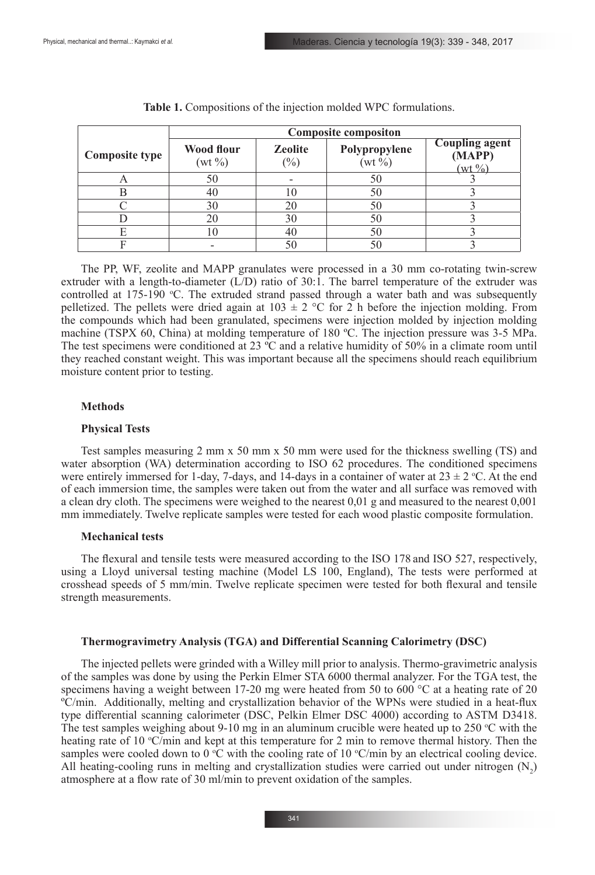|                       | <b>Composite compositon</b> |                          |                            |                                             |  |  |  |
|-----------------------|-----------------------------|--------------------------|----------------------------|---------------------------------------------|--|--|--|
| <b>Composite type</b> | Wood flour<br>$(wt\% )$     | <b>Zeolite</b><br>$(\%)$ | Polypropylene<br>$(wt\% )$ | <b>Coupling agent</b><br>(MAPP)<br>$(wt\%)$ |  |  |  |
| $\sqrt{ }$            | 50                          |                          | 50                         |                                             |  |  |  |
|                       | 40                          |                          | 50                         |                                             |  |  |  |
|                       | 30                          | 20                       | 50                         |                                             |  |  |  |
|                       | 20                          | 30                       | 50                         |                                             |  |  |  |
| F                     | LC.                         |                          | 50                         |                                             |  |  |  |
|                       |                             | 50                       | 50                         |                                             |  |  |  |

The PP, WF, zeolite and MAPP granulates were processed in a 30 mm co-rotating twin-screw extruder with a length-to-diameter  $(L/D)$  ratio of 30:1. The barrel temperature of the extruder was controlled at  $175-190$  °C. The extruded strand passed through a water bath and was subsequently pelletized. The pellets were dried again at  $103 \pm 2$  °C for 2 h before the injection molding. From the compounds which had been granulated, specimens were injection molded by injection molding machine (TSPX 60, China) at molding temperature of 180 ºC. The injection pressure was 3-5 MPa. The test specimens were conditioned at 23 °C and a relative humidity of 50% in a climate room until they reached constant weight. This was important because all the specimens should reach equilibrium moisture content prior to testing.

#### **Methods**

#### **Physical Tests**

Test samples measuring 2 mm x 50 mm x 50 mm were used for the thickness swelling (TS) and water absorption (WA) determination according to ISO 62 procedures. The conditioned specimens were entirely immersed for 1-day, 7-days, and 14-days in a container of water at  $23 \pm 2$  °C. At the end of each immersion time, the samples were taken out from the water and all surface was removed with a clean dry cloth. The specimens were weighed to the nearest 0,01 g and measured to the nearest 0,001 mm immediately. Twelve replicate samples were tested for each wood plastic composite formulation.

#### **Mechanical tests**

The flexural and tensile tests were measured according to the ISO 178 and ISO 527, respectively, using a Lloyd universal testing machine (Model LS 100, England), The tests were performed at crosshead speeds of 5 mm/min. Twelve replicate specimen were tested for both flexural and tensile strength measurements.

#### **Thermogravimetry Analysis (TGA) and Differential Scanning Calorimetry (DSC)**

The injected pellets were grinded with a Willey mill prior to analysis. Thermo-gravimetric analysis of the samples was done by using the Perkin Elmer STA 6000 thermal analyzer. For the TGA test, the specimens having a weight between 17-20 mg were heated from 50 to 600  $^{\circ}$ C at a heating rate of 20 ºC/min. Additionally, melting and crystallization behavior of the WPNs were studied in a heat-flux type differential scanning calorimeter (DSC, Pelkin Elmer DSC 4000) according to ASTM D3418. The test samples weighing about 9-10 mg in an aluminum crucible were heated up to 250  $\degree$ C with the heating rate of 10  $\degree$ C/min and kept at this temperature for 2 min to remove thermal history. Then the samples were cooled down to  $0 \,^{\circ}\text{C}$  with the cooling rate of 10  $\,^{\circ}\text{C/min}$  by an electrical cooling device. All heating-cooling runs in melting and crystallization studies were carried out under nitrogen  $(N_2)$ atmosphere at a flow rate of 30 ml/min to prevent oxidation of the samples.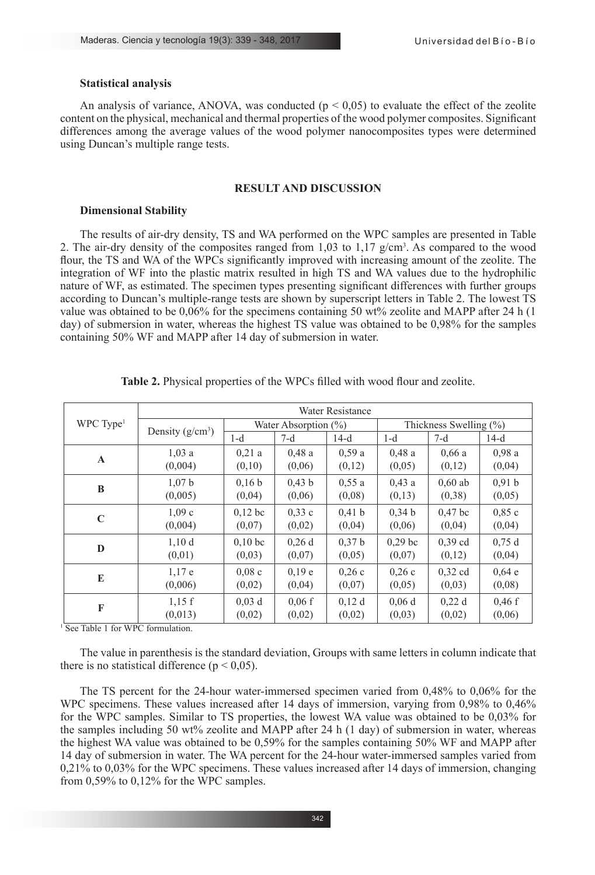#### **Statistical analysis**

An analysis of variance, ANOVA, was conducted ( $p \le 0.05$ ) to evaluate the effect of the zeolite content on the physical, mechanical and thermal properties of the wood polymer composites. Significant differences among the average values of the wood polymer nanocomposites types were determined using Duncan's multiple range tests.

# **RESULT AND DISCUSSION**

#### **Dimensional Stability**

The results of air-dry density, TS and WA performed on the WPC samples are presented in Table 2. The air-dry density of the composites ranged from  $1,03$  to  $1,17$  g/cm<sup>3</sup>. As compared to the wood flour, the TS and WA of the WPCs significantly improved with increasing amount of the zeolite. The integration of WF into the plastic matrix resulted in high TS and WA values due to the hydrophilic nature of WF, as estimated. The specimen types presenting significant differences with further groups according to Duncan's multiple-range tests are shown by superscript letters in Table 2. The lowest TS value was obtained to be 0,06% for the specimens containing 50 wt% zeolite and MAPP after 24 h (1 day) of submersion in water, whereas the highest TS value was obtained to be 0,98% for the samples containing 50% WF and MAPP after 14 day of submersion in water.

|                       | Water Resistance   |                         |        |                   |                           |           |        |  |
|-----------------------|--------------------|-------------------------|--------|-------------------|---------------------------|-----------|--------|--|
| WPC Type <sup>1</sup> |                    | Water Absorption $(\%)$ |        |                   | Thickness Swelling $(\%)$ |           |        |  |
|                       | Density $(g/cm^3)$ | $1-d$                   | $7-d$  | $14-d$            | $1-d$                     | $7-d$     | $14-d$ |  |
| $\mathbf{A}$          | 1,03a              | 0,21a                   | 0.48a  | 0.59a             | 0.48a                     | 0.66a     | 0.98a  |  |
|                       | (0,004)            | (0,10)                  | (0,06) | (0,12)            | (0,05)                    | (0,12)    | (0,04) |  |
| B                     | 1,07 <sub>b</sub>  | 0.16 <sub>b</sub>       | 0.43 b | 0.55a             | 0.43a                     | $0.60$ ab | 0,91 b |  |
|                       | (0,005)            | (0,04)                  | (0,06) | (0.08)            | (0,13)                    | (0,38)    | (0,05) |  |
| $\mathbf C$           | 1,09c              | $0.12$ bc               | 0.33c  | 0.41 <sub>b</sub> | 0.34 <sub>b</sub>         | $0.47$ bc | 0.85c  |  |
|                       | (0,004)            | (0,07)                  | (0,02) | (0,04)            | (0,06)                    | (0,04)    | (0,04) |  |
|                       | 1,10d              | 0.10 <sub>bc</sub>      | 0.26d  | 0.37 <sub>b</sub> | 0.29 <sub>bc</sub>        | $0.39$ cd | 0,75d  |  |
| D                     | (0,01)             | (0,03)                  | (0,07) | (0,05)            | (0,07)                    | (0,12)    | (0,04) |  |
| E                     | 1,17e              | 0.08c                   | 0.19 e | 0.26c             | 0.26c                     | $0.32$ cd | 0.64 e |  |
|                       | (0,006)            | (0,02)                  | (0,04) | (0,07)            | (0,05)                    | (0,03)    | (0,08) |  |
|                       | 1,15f              | $0.03$ d                | 0.06f  | $0.12$ d          | 0.06d                     | 0.22d     | 0.46 f |  |
| F                     | (0,013)            | (0,02)                  | (0,02) | (0,02)            | (0,03)                    | (0,02)    | (0,06) |  |

**Table 2.** Physical properties of the WPCs filled with wood flour and zeolite.

<sup>1</sup> See Table 1 for WPC formulation.

The value in parenthesis is the standard deviation, Groups with same letters in column indicate that there is no statistical difference ( $p < 0.05$ ).

The TS percent for the 24-hour water-immersed specimen varied from 0,48% to 0,06% for the WPC specimens. These values increased after 14 days of immersion, varying from 0,98% to 0,46% for the WPC samples. Similar to TS properties, the lowest WA value was obtained to be 0,03% for the samples including 50 wt% zeolite and MAPP after 24 h (1 day) of submersion in water, whereas the highest WA value was obtained to be 0,59% for the samples containing 50% WF and MAPP after 14 day of submersion in water. The WA percent for the 24-hour water-immersed samples varied from 0,21% to 0,03% for the WPC specimens. These values increased after 14 days of immersion, changing from 0,59% to 0,12% for the WPC samples.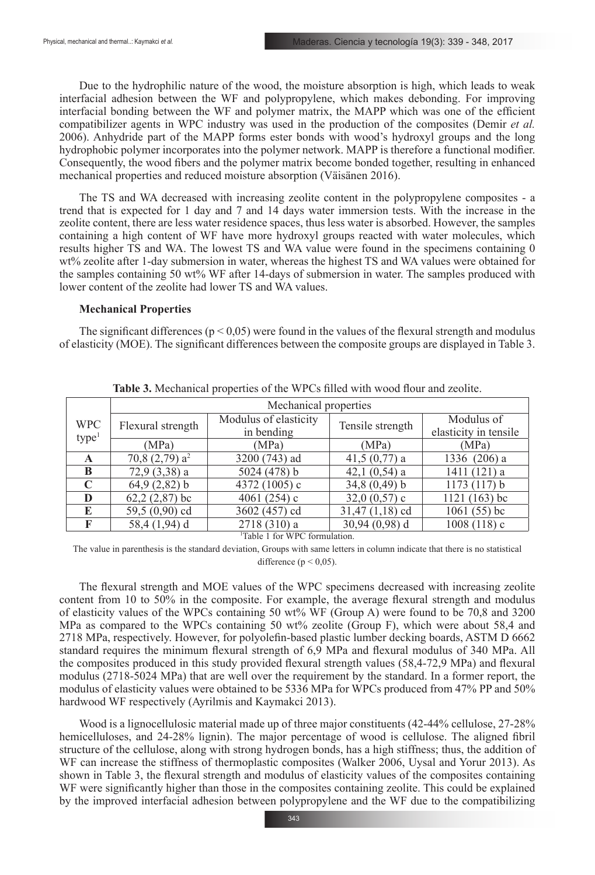Due to the hydrophilic nature of the wood, the moisture absorption is high, which leads to weak interfacial adhesion between the WF and polypropylene, which makes debonding. For improving interfacial bonding between the WF and polymer matrix, the MAPP which was one of the efficient compatibilizer agents in WPC industry was used in the production of the composites (Demir *et al.* 2006). Anhydride part of the MAPP forms ester bonds with wood's hydroxyl groups and the long hydrophobic polymer incorporates into the polymer network. MAPP is therefore a functional modifier. Consequently, the wood fibers and the polymer matrix become bonded together, resulting in enhanced mechanical properties and reduced moisture absorption (Väisänen 2016).

The TS and WA decreased with increasing zeolite content in the polypropylene composites - a trend that is expected for 1 day and 7 and 14 days water immersion tests. With the increase in the zeolite content, there are less water residence spaces, thus less water is absorbed. However, the samples containing a high content of WF have more hydroxyl groups reacted with water molecules, which results higher TS and WA. The lowest TS and WA value were found in the specimens containing 0 wt% zeolite after 1-day submersion in water, whereas the highest TS and WA values were obtained for the samples containing 50 wt% WF after 14-days of submersion in water. The samples produced with lower content of the zeolite had lower TS and WA values.

#### **Mechanical Properties**

The significant differences ( $p < 0.05$ ) were found in the values of the flexural strength and modulus of elasticity (MOE). The significant differences between the composite groups are displayed in Table 3.

|                                 | Mechanical properties        |                                     |                  |                                     |  |  |  |
|---------------------------------|------------------------------|-------------------------------------|------------------|-------------------------------------|--|--|--|
| <b>WPC</b><br>type <sup>1</sup> | Flexural strength            | Modulus of elasticity<br>in bending | Tensile strength | Modulus of<br>elasticity in tensile |  |  |  |
|                                 | (MPa)                        | (MPa)                               | (MPa)            | (MPa)                               |  |  |  |
| A                               | 70,8 $(2,79)$ a <sup>2</sup> | 3200 (743) ad                       | $41,5(0,77)$ a   | 1336 (206) a                        |  |  |  |
| B                               | $72,9(3,38)$ a               | 5024 $(478)$ b                      | 42,1 $(0,54)$ a  | 1411 (121) a                        |  |  |  |
| $\mathbf C$                     | $64,9(2,82)$ b               | 4372 (1005) c                       | $34,8(0,49)$ b   | 1173(117) b                         |  |  |  |
| D                               | $62,2(2,87)$ bc              | 4061 $(254)$ c                      | 32,0 $(0,57)$ c  | $1121(163)$ bc                      |  |  |  |
| E                               | 59,5 (0,90) cd               | 3602 (457) cd                       | $31,47(1,18)$ cd | $1061(55)$ bc                       |  |  |  |
| F                               | 58,4 (1,94) d                | 2718 (310) a                        | $30,94(0,98)$ d  | $1008(118)$ c                       |  |  |  |

**Table 3.** Mechanical properties of the WPCs filled with wood flour and zeolite.

1 Table 1 for WPC formulation.

The value in parenthesis is the standard deviation, Groups with same letters in column indicate that there is no statistical difference ( $p < 0.05$ ).

The flexural strength and MOE values of the WPC specimens decreased with increasing zeolite content from 10 to 50% in the composite. For example, the average flexural strength and modulus of elasticity values of the WPCs containing 50 wt% WF (Group A) were found to be 70,8 and 3200 MPa as compared to the WPCs containing 50 wt% zeolite (Group F), which were about 58,4 and 2718 MPa, respectively. However, for polyolefin-based plastic lumber decking boards, ASTM D 6662 standard requires the minimum flexural strength of 6,9 MPa and flexural modulus of 340 MPa. All the composites produced in this study provided flexural strength values (58,4-72,9 MPa) and flexural modulus (2718-5024 MPa) that are well over the requirement by the standard. In a former report, the modulus of elasticity values were obtained to be 5336 MPa for WPCs produced from 47% PP and 50% hardwood WF respectively (Ayrilmis and Kaymakci 2013).

Wood is a lignocellulosic material made up of three major constituents (42-44% cellulose, 27-28% hemicelluloses, and 24-28% lignin). The major percentage of wood is cellulose. The aligned fibril structure of the cellulose, along with strong hydrogen bonds, has a high stiffness; thus, the addition of WF can increase the stiffness of thermoplastic composites (Walker 2006, Uysal and Yorur 2013). As shown in Table 3, the flexural strength and modulus of elasticity values of the composites containing WF were significantly higher than those in the composites containing zeolite. This could be explained by the improved interfacial adhesion between polypropylene and the WF due to the compatibilizing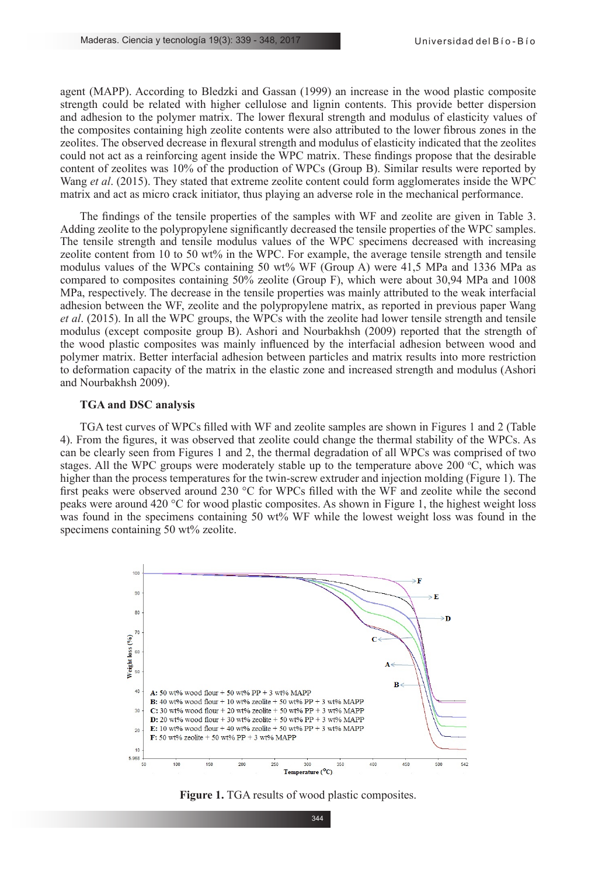agent (MAPP). According to Bledzki and Gassan (1999) an increase in the wood plastic composite strength could be related with higher cellulose and lignin contents. This provide better dispersion and adhesion to the polymer matrix. The lower flexural strength and modulus of elasticity values of the composites containing high zeolite contents were also attributed to the lower fibrous zones in the zeolites. The observed decrease in flexural strength and modulus of elasticity indicated that the zeolites could not act as a reinforcing agent inside the WPC matrix. These findings propose that the desirable content of zeolites was 10% of the production of WPCs (Group B). Similar results were reported by Wang *et al*. (2015). They stated that extreme zeolite content could form agglomerates inside the WPC matrix and act as micro crack initiator, thus playing an adverse role in the mechanical performance.

The findings of the tensile properties of the samples with WF and zeolite are given in Table 3. Adding zeolite to the polypropylene significantly decreased the tensile properties of the WPC samples. The tensile strength and tensile modulus values of the WPC specimens decreased with increasing zeolite content from 10 to 50 wt% in the WPC. For example, the average tensile strength and tensile modulus values of the WPCs containing 50 wt% WF (Group A) were 41,5 MPa and 1336 MPa as compared to composites containing 50% zeolite (Group F), which were about 30,94 MPa and 1008 MPa, respectively. The decrease in the tensile properties was mainly attributed to the weak interfacial adhesion between the WF, zeolite and the polypropylene matrix, as reported in previous paper Wang *et al.* (2015). In all the WPC groups, the WPCs with the zeolite had lower tensile strength and tensile modulus (except composite group B). Ashori and Nourbakhsh (2009) reported that the strength of the wood plastic composites was mainly influenced by the interfacial adhesion between wood and polymer matrix. Better interfacial adhesion between particles and matrix results into more restriction to deformation capacity of the matrix in the elastic zone and increased strength and modulus (Ashori and Nourbakhsh 2009).

#### **TGA and DSC analysis**

TGA test curves of WPCs filled with WF and zeolite samples are shown in Figures 1 and 2 (Table 4). From the figures, it was observed that zeolite could change the thermal stability of the WPCs. As can be clearly seen from Figures 1 and 2, the thermal degradation of all WPCs was comprised of two stages. All the WPC groups were moderately stable up to the temperature above 200  $\degree$ C, which was higher than the process temperatures for the twin-screw extruder and injection molding (Figure 1). The first peaks were observed around 230 °C for WPCs filled with the WF and zeolite while the second peaks were around 420 °C for wood plastic composites. As shown in Figure 1, the highest weight loss was found in the specimens containing 50 wt% WF while the lowest weight loss was found in the specimens containing 50 wt% zeolite.



**Figure 1.** TGA results of wood plastic composites.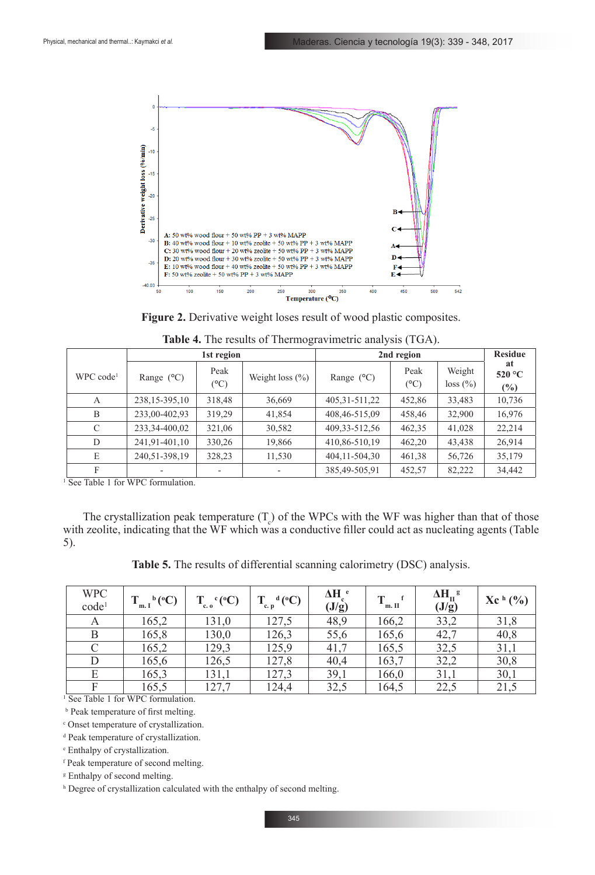

| <b>Figure 2.</b> Derivative weight loses result of wood plastic composites. |  |  |  |
|-----------------------------------------------------------------------------|--|--|--|
|-----------------------------------------------------------------------------|--|--|--|

|                            | 1st region          |              |                     | 2nd region          | <b>Residue</b>        |                    |                     |
|----------------------------|---------------------|--------------|---------------------|---------------------|-----------------------|--------------------|---------------------|
| $WPC$ code <sup>1</sup>    | Range $(^{\circ}C)$ | Peak<br>(°C) | Weight loss $(\% )$ | Range $(^{\circ}C)$ | Peak<br>$(^{\circ}C)$ | Weight<br>loss (%) | at<br>520 °C<br>(%) |
| A                          | 238, 15-395, 10     | 318,48       | 36,669              | 405, 31 - 511, 22   | 452,86                | 33,483             | 10,736              |
| B                          | 233,00-402,93       | 319,29       | 41,854              | 408,46-515,09       | 458,46                | 32,900             | 16,976              |
| $\mathcal{C}$              | 233, 34-400, 02     | 321,06       | 30,582              | 409, 33 - 512, 56   | 462,35                | 41,028             | 22,214              |
| D                          | 241,91-401,10       | 330,26       | 19,866              | 410,86-510,19       | 462,20                | 43,438             | 26,914              |
| E                          | 240,51-398,19       | 328,23       | 11,530              | 404, 11 - 504, 30   | 461,38                | 56,726             | 35,179              |
| F<br>$\sim$<br>$T = 11.4C$ | TTIDQC<br>$1 \cdot$ |              |                     | 385,49-505,91       | 452,57                | 82,222             | 34,442              |

| Table 4. The results of Thermogravimetric analysis (TGA). |  |  |  |
|-----------------------------------------------------------|--|--|--|
|-----------------------------------------------------------|--|--|--|

<sup>1</sup> See Table 1 for WPC formulation.

The crystallization peak temperature  $(T_c)$  of the WPCs with the WF was higher than that of those with zeolite, indicating that the WF which was a conductive filler could act as nucleating agents (Table 5).

**Table 5.** The results of differential scanning calorimetry (DSC) analysis.

| <b>WPC</b><br>code <sup>1</sup> | $T_{m,I}^{\ b}$ (°C) | $T_{c.o}^c(^{\circ}C)$ | $^d$ (°C)<br>$c.$ p | ΔH <sup>e</sup><br>(J/g) | m. II | $\Delta H_{II}^{\  \  \, g}$<br>(J/g) | $Xc^{h}$ (%) |
|---------------------------------|----------------------|------------------------|---------------------|--------------------------|-------|---------------------------------------|--------------|
| A                               | 165,2                | 131,0                  | 127,5               | 48,9                     | 166,2 | 33,2                                  | 31,8         |
| B                               | 165,8                | 130,0                  | 126,3               | 55,6                     | 165,6 | 42,7                                  | 40,8         |
| C                               | 165,2                | 129,3                  | 125,9               | 41,7                     | 165,5 | 32,5                                  | 31,1         |
| D                               | 165,6                | 126,5                  | 127,8               | 40,4                     | 163,7 | 32,2                                  | 30,8         |
| E                               | 165,3                | 131,1                  | 127,3               | 39,1                     | 166,0 | 31,1                                  | 30,1         |
| F                               | 165,5                | 127,7                  | 124,4               | 32,5                     | 164,5 | 22,5                                  | 21,5         |

<sup>1</sup> See Table 1 for WPC formulation.

b Peak temperature of first melting.

c Onset temperature of crystallization.

d Peak temperature of crystallization.

e Enthalpy of crystallization.

f Peak temperature of second melting.

g Enthalpy of second melting.

<sup>h</sup> Degree of crystallization calculated with the enthalpy of second melting.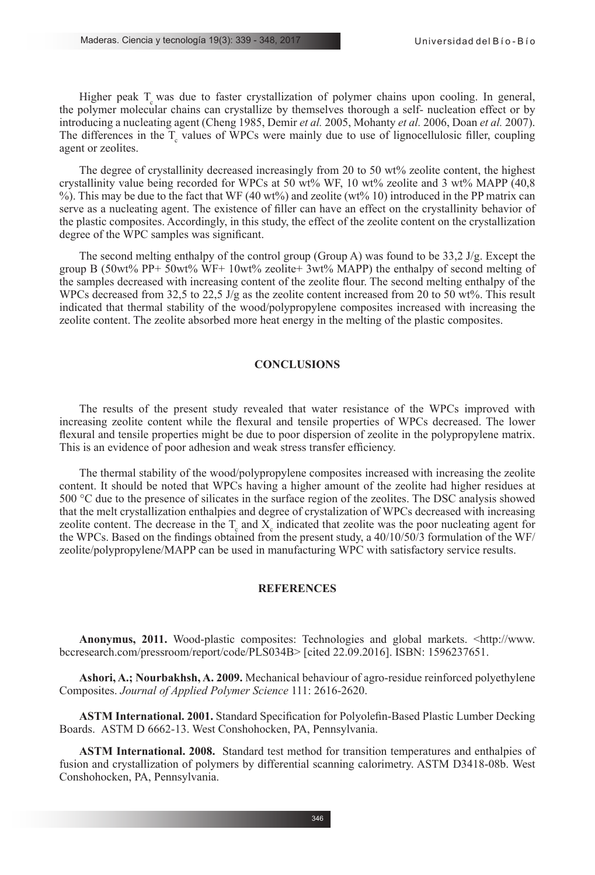Higher peak  $T_c$  was due to faster crystallization of polymer chains upon cooling. In general, the polymer molecular chains can crystallize by themselves thorough a self- nucleation effect or by introducing a nucleating agent (Cheng 1985, Demir *et al.* 2005, Mohanty *et al.* 2006, Doan *et al.* 2007). The differences in the  $T_c$  values of WPCs were mainly due to use of lignocellulosic filler, coupling agent or zeolites.

The degree of crystallinity decreased increasingly from 20 to 50 wt% zeolite content, the highest crystallinity value being recorded for WPCs at 50 wt% WF, 10 wt% zeolite and 3 wt% MAPP (40.8) %). This may be due to the fact that WF (40 wt%) and zeolite (wt% 10) introduced in the PP matrix can serve as a nucleating agent. The existence of filler can have an effect on the crystallinity behavior of the plastic composites. Accordingly, in this study, the effect of the zeolite content on the crystallization degree of the WPC samples was significant.

The second melting enthalpy of the control group (Group A) was found to be 33.2 J/g. Except the group B (50wt% PP+ 50wt% WF+ 10wt% zeolite+ 3wt% MAPP) the enthalpy of second melting of the samples decreased with increasing content of the zeolite flour. The second melting enthalpy of the WPCs decreased from 32,5 to 22,5 J/g as the zeolite content increased from 20 to 50 wt%. This result indicated that thermal stability of the wood/polypropylene composites increased with increasing the zeolite content. The zeolite absorbed more heat energy in the melting of the plastic composites.

# **CONCLUSIONS**

The results of the present study revealed that water resistance of the WPCs improved with increasing zeolite content while the flexural and tensile properties of WPCs decreased. The lower flexural and tensile properties might be due to poor dispersion of zeolite in the polypropylene matrix. This is an evidence of poor adhesion and weak stress transfer efficiency.

The thermal stability of the wood/polypropylene composites increased with increasing the zeolite content. It should be noted that WPCs having a higher amount of the zeolite had higher residues at 500 °C due to the presence of silicates in the surface region of the zeolites. The DSC analysis showed that the melt crystallization enthalpies and degree of crystalization of WPCs decreased with increasing zeolite content. The decrease in the  $T_{\rm g}$  and  $X_{\rm c}$  indicated that zeolite was the poor nucleating agent for the WPCs. Based on the findings obtained from the present study, a 40/10/50/3 formulation of the WF/ zeolite/polypropylene/MAPP can be used in manufacturing WPC with satisfactory service results.

## **REFERENCES**

**Anonymus, 2011.** Wood-plastic composites: Technologies and global markets. <http://www. bccresearch.com/pressroom/report/code/PLS034B> [cited 22.09.2016]. ISBN: 1596237651.

**Ashori, A.; Nourbakhsh, A. 2009.** Mechanical behaviour of agro-residue reinforced polyethylene Composites. *Journal of Applied Polymer Science* 111: 2616-2620.

**ASTM International. 2001.** Standard Specification for Polyolefin-Based Plastic Lumber Decking Boards. ASTM D 6662-13. West Conshohocken, PA, Pennsylvania.

**ASTM International. 2008.** Standard test method for transition temperatures and enthalpies of fusion and crystallization of polymers by differential scanning calorimetry. ASTM D3418-08b. West Conshohocken, PA, Pennsylvania.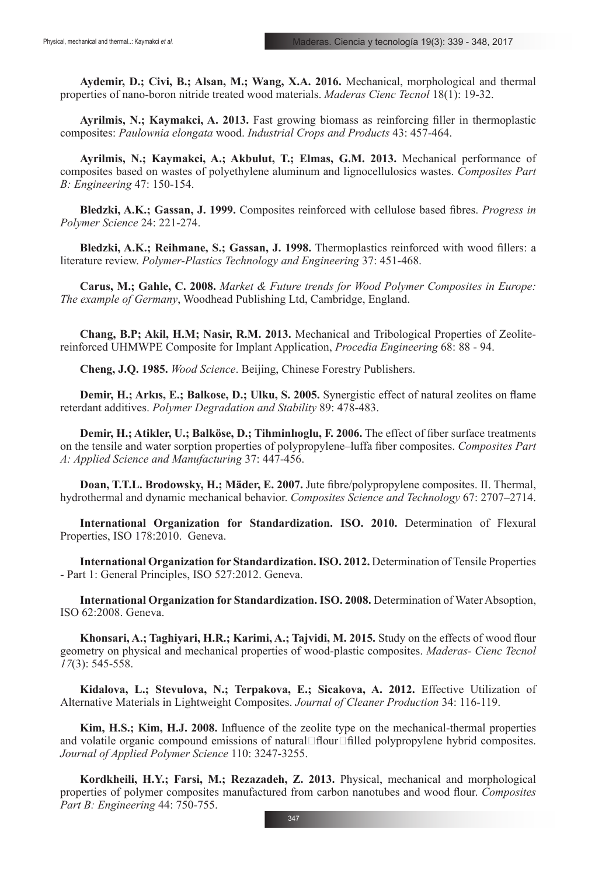**Aydemir, D.; Civi, B.; Alsan, M.; Wang, X.A. 2016.** Mechanical, morphological and thermal properties of nano-boron nitride treated wood materials. *Maderas Cienc Tecnol* 18(1): 19-32.

**Ayrilmis, N.; Kaymakci, A. 2013.** Fast growing biomass as reinforcing filler in thermoplastic composites: *Paulownia elongata* wood. *Industrial Crops and Products* 43: 457-464.

**Ayrilmis, N.; Kaymakci, A.; Akbulut, T.; Elmas, G.M. 2013.** Mechanical performance of composites based on wastes of polyethylene aluminum and lignocellulosics wastes. *Composites Part B: Engineering* 47: 150-154.

**Bledzki, A.K.; Gassan, J. 1999.** Composites reinforced with cellulose based fibres. *Progress in Polymer Science* 24: 221-274.

**Bledzki, A.K.; Reihmane, S.; Gassan, J. 1998.** Thermoplastics reinforced with wood fillers: a literature review. *Polymer-Plastics Technology and Engineering* 37: 451-468.

**Carus, M.; Gahle, C. 2008.** *Market & Future trends for Wood Polymer Composites in Europe: The example of Germany*, Woodhead Publishing Ltd, Cambridge, England.

**Chang, B.P; Akil, H.M; Nasir, R.M. 2013.** Mechanical and Tribological Properties of Zeolitereinforced UHMWPE Composite for Implant Application, *Procedia Engineering* 68: 88 - 94.

**Cheng, J.Q. 1985.** *Wood Science*. Beijing, Chinese Forestry Publishers.

**Demir, H.; Arkıs, E.; Balkose, D.; Ulku, S. 2005.** Synergistic effect of natural zeolites on flame reterdant additives. *Polymer Degradation and Stability* 89: 478-483.

**Demir, H.; Atikler, U.; Balköse, D.; Tihminlıoglu, F. 2006.** The effect of fiber surface treatments on the tensile and water sorption properties of polypropylene–luffa fiber composites. *Composites Part A: Applied Science and Manufacturing* 37: 447-456.

**Doan, T.T.L. Brodowsky, H.; Mäder, E. 2007.** Jute fibre/polypropylene composites. II. Thermal, hydrothermal and dynamic mechanical behavior. *Composites Science and Technology* 67: 2707–2714.

**International Organization for Standardization. ISO. 2010.** Determination of Flexural Properties, ISO 178:2010. Geneva.

**International Organization for Standardization. ISO. 2012.** Determination of Tensile Properties - Part 1: General Principles, ISO 527:2012. Geneva.

**International Organization for Standardization. ISO. 2008.** Determination of Water Absoption, ISO 62:2008. Geneva.

**Khonsari, A.; Taghiyari, H.R.; Karimi, A.; Tajvidi, M. 2015.** Study on the effects of wood flour geometry on physical and mechanical properties of wood-plastic composites. *Maderas- Cienc Tecnol 17*(3): 545-558.

**Kidalova, L.; Stevulova, N.; Terpakova, E.; Sicakova, A. 2012.** Effective Utilization of Alternative Materials in Lightweight Composites. *Journal of Cleaner Production* 34: 116-119.

**Kim, H.S.; Kim, H.J. 2008.** Influence of the zeolite type on the mechanical-thermal properties and volatile organic compound emissions of natural $\Box$ flour $\Box$ filled polypropylene hybrid composites. *Journal of Applied Polymer Science* 110: 3247-3255.

**Kordkheili, H.Y.; Farsi, M.; Rezazadeh, Z. 2013.** Physical, mechanical and morphological properties of polymer composites manufactured from carbon nanotubes and wood flour. *Composites Part B: Engineering* 44: 750-755.